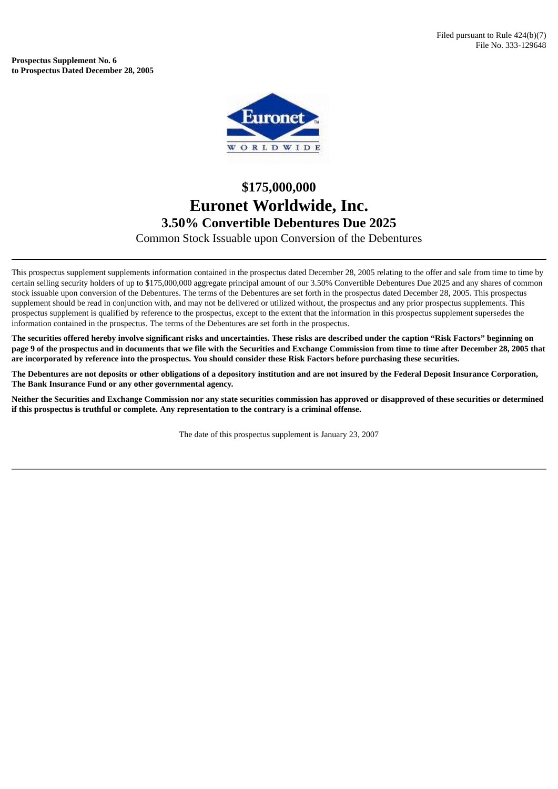**Prospectus Supplement No. 6 to Prospectus Dated December 28, 2005**



## **\$175,000,000 Euronet Worldwide, Inc. 3.50% Convertible Debentures Due 2025** Common Stock Issuable upon Conversion of the Debentures

This prospectus supplement supplements information contained in the prospectus dated December 28, 2005 relating to the offer and sale from time to time by certain selling security holders of up to \$175,000,000 aggregate principal amount of our 3.50% Convertible Debentures Due 2025 and any shares of common stock issuable upon conversion of the Debentures. The terms of the Debentures are set forth in the prospectus dated December 28, 2005. This prospectus supplement should be read in conjunction with, and may not be delivered or utilized without, the prospectus and any prior prospectus supplements. This prospectus supplement is qualified by reference to the prospectus, except to the extent that the information in this prospectus supplement supersedes the information contained in the prospectus. The terms of the Debentures are set forth in the prospectus.

The securities offered hereby involve significant risks and uncertainties. These risks are described under the caption "Risk Factors" beginning on page 9 of the prospectus and in documents that we file with the Securities and Exchange Commission from time to time after December 28, 2005 that are incorporated by reference into the prospectus. You should consider these Risk Factors before purchasing these securities.

The Debentures are not deposits or other obligations of a depository institution and are not insured by the Federal Deposit Insurance Corporation, **The Bank Insurance Fund or any other governmental agency.**

Neither the Securities and Exchange Commission nor any state securities commission has approved or disapproved of these securities or determined **if this prospectus is truthful or complete. Any representation to the contrary is a criminal offense.**

The date of this prospectus supplement is January 23, 2007